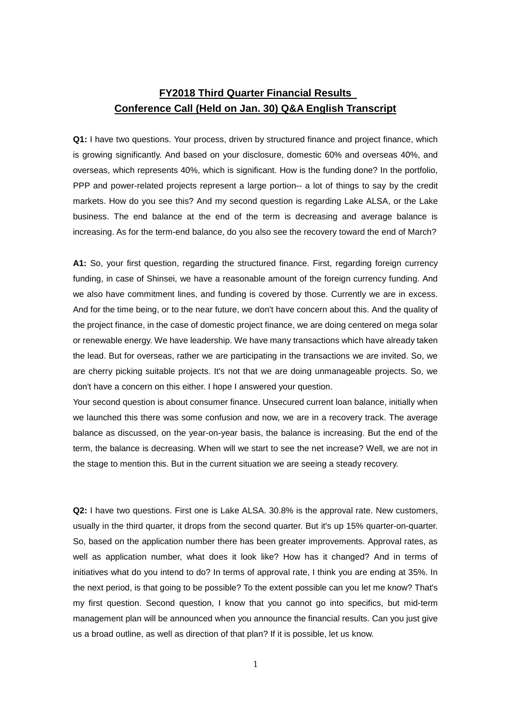## **FY2018 Third Quarter Financial Results Conference Call (Held on Jan. 30) Q&A English Transcript**

**Q1:** I have two questions. Your process, driven by structured finance and project finance, which is growing significantly. And based on your disclosure, domestic 60% and overseas 40%, and overseas, which represents 40%, which is significant. How is the funding done? In the portfolio, PPP and power-related projects represent a large portion-- a lot of things to say by the credit markets. How do you see this? And my second question is regarding Lake ALSA, or the Lake business. The end balance at the end of the term is decreasing and average balance is increasing. As for the term-end balance, do you also see the recovery toward the end of March?

**A1:** So, your first question, regarding the structured finance. First, regarding foreign currency funding, in case of Shinsei, we have a reasonable amount of the foreign currency funding. And we also have commitment lines, and funding is covered by those. Currently we are in excess. And for the time being, or to the near future, we don't have concern about this. And the quality of the project finance, in the case of domestic project finance, we are doing centered on mega solar or renewable energy. We have leadership. We have many transactions which have already taken the lead. But for overseas, rather we are participating in the transactions we are invited. So, we are cherry picking suitable projects. It's not that we are doing unmanageable projects. So, we don't have a concern on this either. I hope I answered your question.

Your second question is about consumer finance. Unsecured current loan balance, initially when we launched this there was some confusion and now, we are in a recovery track. The average balance as discussed, on the year-on-year basis, the balance is increasing. But the end of the term, the balance is decreasing. When will we start to see the net increase? Well, we are not in the stage to mention this. But in the current situation we are seeing a steady recovery.

**Q2:** I have two questions. First one is Lake ALSA. 30.8% is the approval rate. New customers, usually in the third quarter, it drops from the second quarter. But it's up 15% quarter-on-quarter. So, based on the application number there has been greater improvements. Approval rates, as well as application number, what does it look like? How has it changed? And in terms of initiatives what do you intend to do? In terms of approval rate, I think you are ending at 35%. In the next period, is that going to be possible? To the extent possible can you let me know? That's my first question. Second question, I know that you cannot go into specifics, but mid-term management plan will be announced when you announce the financial results. Can you just give us a broad outline, as well as direction of that plan? If it is possible, let us know.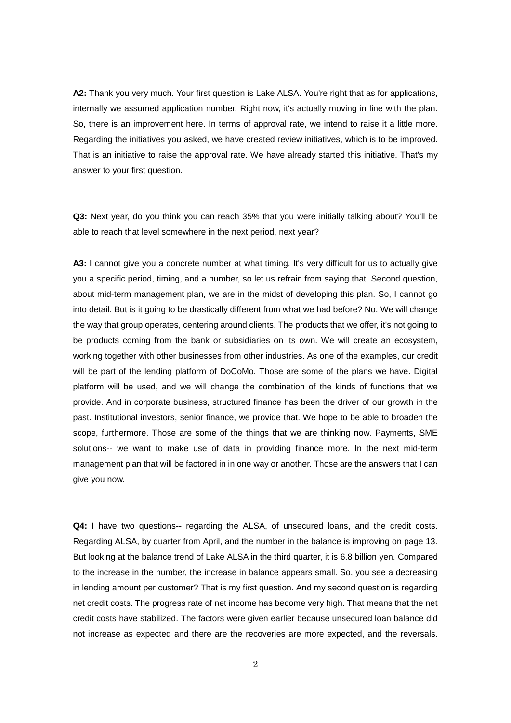**A2:** Thank you very much. Your first question is Lake ALSA. You're right that as for applications, internally we assumed application number. Right now, it's actually moving in line with the plan. So, there is an improvement here. In terms of approval rate, we intend to raise it a little more. Regarding the initiatives you asked, we have created review initiatives, which is to be improved. That is an initiative to raise the approval rate. We have already started this initiative. That's my answer to your first question.

**Q3:** Next year, do you think you can reach 35% that you were initially talking about? You'll be able to reach that level somewhere in the next period, next year?

**A3:** I cannot give you a concrete number at what timing. It's very difficult for us to actually give you a specific period, timing, and a number, so let us refrain from saying that. Second question, about mid-term management plan, we are in the midst of developing this plan. So, I cannot go into detail. But is it going to be drastically different from what we had before? No. We will change the way that group operates, centering around clients. The products that we offer, it's not going to be products coming from the bank or subsidiaries on its own. We will create an ecosystem, working together with other businesses from other industries. As one of the examples, our credit will be part of the lending platform of DoCoMo. Those are some of the plans we have. Digital platform will be used, and we will change the combination of the kinds of functions that we provide. And in corporate business, structured finance has been the driver of our growth in the past. Institutional investors, senior finance, we provide that. We hope to be able to broaden the scope, furthermore. Those are some of the things that we are thinking now. Payments, SME solutions-- we want to make use of data in providing finance more. In the next mid-term management plan that will be factored in in one way or another. Those are the answers that I can give you now.

**Q4:** I have two questions-- regarding the ALSA, of unsecured loans, and the credit costs. Regarding ALSA, by quarter from April, and the number in the balance is improving on page 13. But looking at the balance trend of Lake ALSA in the third quarter, it is 6.8 billion yen. Compared to the increase in the number, the increase in balance appears small. So, you see a decreasing in lending amount per customer? That is my first question. And my second question is regarding net credit costs. The progress rate of net income has become very high. That means that the net credit costs have stabilized. The factors were given earlier because unsecured loan balance did not increase as expected and there are the recoveries are more expected, and the reversals.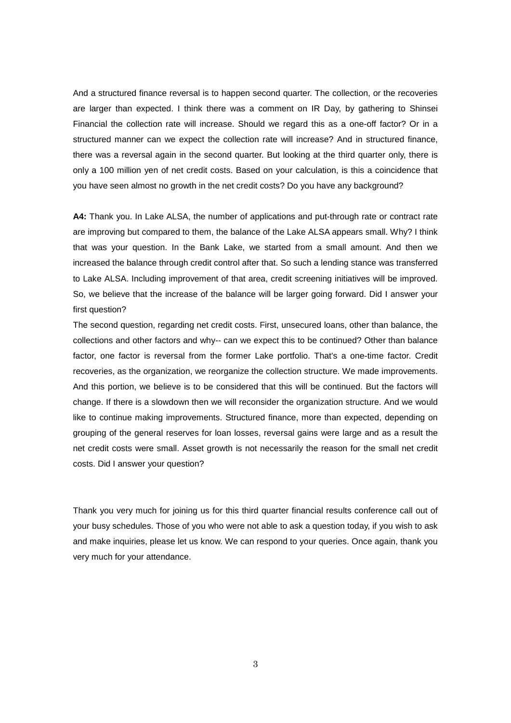And a structured finance reversal is to happen second quarter. The collection, or the recoveries are larger than expected. I think there was a comment on IR Day, by gathering to Shinsei Financial the collection rate will increase. Should we regard this as a one-off factor? Or in a structured manner can we expect the collection rate will increase? And in structured finance, there was a reversal again in the second quarter. But looking at the third quarter only, there is only a 100 million yen of net credit costs. Based on your calculation, is this a coincidence that you have seen almost no growth in the net credit costs? Do you have any background?

**A4:** Thank you. In Lake ALSA, the number of applications and put-through rate or contract rate are improving but compared to them, the balance of the Lake ALSA appears small. Why? I think that was your question. In the Bank Lake, we started from a small amount. And then we increased the balance through credit control after that. So such a lending stance was transferred to Lake ALSA. Including improvement of that area, credit screening initiatives will be improved. So, we believe that the increase of the balance will be larger going forward. Did I answer your first question?

The second question, regarding net credit costs. First, unsecured loans, other than balance, the collections and other factors and why-- can we expect this to be continued? Other than balance factor, one factor is reversal from the former Lake portfolio. That's a one-time factor. Credit recoveries, as the organization, we reorganize the collection structure. We made improvements. And this portion, we believe is to be considered that this will be continued. But the factors will change. If there is a slowdown then we will reconsider the organization structure. And we would like to continue making improvements. Structured finance, more than expected, depending on grouping of the general reserves for loan losses, reversal gains were large and as a result the net credit costs were small. Asset growth is not necessarily the reason for the small net credit costs. Did I answer your question?

Thank you very much for joining us for this third quarter financial results conference call out of your busy schedules. Those of you who were not able to ask a question today, if you wish to ask and make inquiries, please let us know. We can respond to your queries. Once again, thank you very much for your attendance.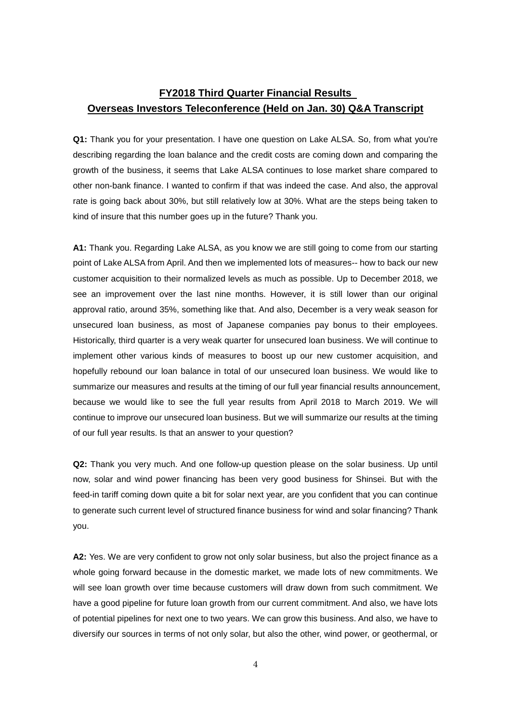## **FY2018 Third Quarter Financial Results Overseas Investors Teleconference (Held on Jan. 30) Q&A Transcript**

**Q1:** Thank you for your presentation. I have one question on Lake ALSA. So, from what you're describing regarding the loan balance and the credit costs are coming down and comparing the growth of the business, it seems that Lake ALSA continues to lose market share compared to other non-bank finance. I wanted to confirm if that was indeed the case. And also, the approval rate is going back about 30%, but still relatively low at 30%. What are the steps being taken to kind of insure that this number goes up in the future? Thank you.

**A1:** Thank you. Regarding Lake ALSA, as you know we are still going to come from our starting point of Lake ALSA from April. And then we implemented lots of measures-- how to back our new customer acquisition to their normalized levels as much as possible. Up to December 2018, we see an improvement over the last nine months. However, it is still lower than our original approval ratio, around 35%, something like that. And also, December is a very weak season for unsecured loan business, as most of Japanese companies pay bonus to their employees. Historically, third quarter is a very weak quarter for unsecured loan business. We will continue to implement other various kinds of measures to boost up our new customer acquisition, and hopefully rebound our loan balance in total of our unsecured loan business. We would like to summarize our measures and results at the timing of our full year financial results announcement, because we would like to see the full year results from April 2018 to March 2019. We will continue to improve our unsecured loan business. But we will summarize our results at the timing of our full year results. Is that an answer to your question?

**Q2:** Thank you very much. And one follow-up question please on the solar business. Up until now, solar and wind power financing has been very good business for Shinsei. But with the feed-in tariff coming down quite a bit for solar next year, are you confident that you can continue to generate such current level of structured finance business for wind and solar financing? Thank you.

**A2:** Yes. We are very confident to grow not only solar business, but also the project finance as a whole going forward because in the domestic market, we made lots of new commitments. We will see loan growth over time because customers will draw down from such commitment. We have a good pipeline for future loan growth from our current commitment. And also, we have lots of potential pipelines for next one to two years. We can grow this business. And also, we have to diversify our sources in terms of not only solar, but also the other, wind power, or geothermal, or